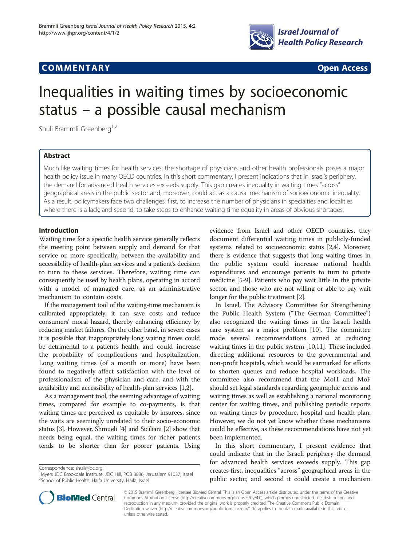

# **COMMENTARY COMMENTARY Open Access**

# Inequalities in waiting times by socioeconomic status – a possible causal mechanism

Shuli Brammli Greenberg<sup>1,2</sup>

# Abstract

Much like waiting times for health services, the shortage of physicians and other health professionals poses a major health policy issue in many OECD countries. In this short commentary, I present indications that in Israel's periphery, the demand for advanced health services exceeds supply. This gap creates inequality in waiting times "across" geographical areas in the public sector and, moreover, could act as a causal mechanism of socioeconomic inequality. As a result, policymakers face two challenges: first, to increase the number of physicians in specialties and localities where there is a lack; and second, to take steps to enhance waiting time equality in areas of obvious shortages.

## Introduction

Waiting time for a specific health service generally reflects the meeting point between supply and demand for that service or, more specifically, between the availability and accessibility of health-plan services and a patient's decision to turn to these services. Therefore, waiting time can consequently be used by health plans, operating in accord with a model of managed care, as an administrative mechanism to contain costs.

If the management tool of the waiting-time mechanism is calibrated appropriately, it can save costs and reduce consumers' moral hazard, thereby enhancing efficiency by reducing market failures. On the other hand, in severe cases it is possible that inappropriately long waiting times could be detrimental to a patient's health, and could increase the probability of complications and hospitalization. Long waiting times (of a month or more) have been found to negatively affect satisfaction with the level of professionalism of the physician and care, and with the availability and accessibility of health-plan services [[1](#page-2-0),[2](#page-2-0)].

As a management tool, the seeming advantage of waiting times, compared for example to co-payments, is that waiting times are perceived as equitable by insurees, since the waits are seemingly unrelated to their socio-economic status [\[3](#page-2-0)]. However, Shmueli [\[4\]](#page-2-0) and Siciliani [[2\]](#page-2-0) show that needs being equal, the waiting times for richer patients tends to be shorter than for poorer patients. Using

Correspondence: [shuli@jdc.org.il](mailto:shuli@jdc.org.il) <sup>1</sup>



In Israel, The Advisory Committee for Strengthening the Public Health System ("The German Committee") also recognized the waiting times in the Israeli health care system as a major problem [[10](#page-2-0)]. The committee made several recommendations aimed at reducing waiting times in the public system [\[10,11](#page-2-0)]. These included directing additional resources to the governmental and non-profit hospitals, which would be earmarked for efforts to shorten queues and reduce hospital workloads. The committee also recommend that the MoH and MoF should set legal standards regarding geographic access and waiting times as well as establishing a national monitoring center for waiting times, and publishing periodic reports on waiting times by procedure, hospital and health plan. However, we do not yet know whether these mechanisms could be effective, as these recommendations have not yet been implemented.

In this short commentary, I present evidence that could indicate that in the Israeli periphery the demand for advanced health services exceeds supply. This gap creates first, inequalities "across" geographical areas in the public sector, and second it could create a mechanism



© 2015 Brammli Greenberg; licensee BioMed Central. This is an Open Access article distributed under the terms of the Creative Commons Attribution License [\(http://creativecommons.org/licenses/by/4.0\)](http://creativecommons.org/licenses/by/4.0), which permits unrestricted use, distribution, and reproduction in any medium, provided the original work is properly credited. The Creative Commons Public Domain Dedication waiver [\(http://creativecommons.org/publicdomain/zero/1.0/](http://creativecommons.org/publicdomain/zero/1.0/)) applies to the data made available in this article, unless otherwise stated.

<sup>&</sup>lt;sup>1</sup>Myers JDC Brookdale Institute, JDC Hill, POB 3886, Jerusalem 91037, Israel <sup>2</sup>School of Public Health, Haifa University, Haifa, Israel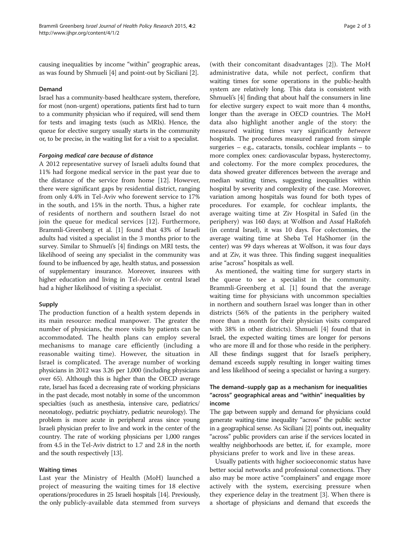causing inequalities by income "within" geographic areas, as was found by Shmueli [\[4](#page-2-0)] and point-out by Siciliani [[2](#page-2-0)].

#### Demand

Israel has a community-based healthcare system, therefore, for most (non-urgent) operations, patients first had to turn to a community physician who if required, will send them for tests and imaging tests (such as MRIs). Hence, the queue for elective surgery usually starts in the community or, to be precise, in the waiting list for a visit to a specialist.

#### Forgoing medical care because of distance

A 2012 representative survey of Israeli adults found that 11% had forgone medical service in the past year due to the distance of the service from home [\[12](#page-2-0)]. However, there were significant gaps by residential district, ranging from only 4.4% in Tel-Aviv who forewent service to 17% in the south, and 15% in the north. Thus, a higher rate of residents of northern and southern Israel do not join the queue for medical services [[12\]](#page-2-0). Furthermore, Brammli-Greenberg et al. [\[1\]](#page-2-0) found that 43% of Israeli adults had visited a specialist in the 3 months prior to the survey. Similar to Shmueli's [\[4\]](#page-2-0) findings on MRI tests, the likelihood of seeing any specialist in the community was found to be influenced by age, health status, and possession of supplementary insurance. Moreover, insurees with higher education and living in Tel-Aviv or central Israel had a higher likelihood of visiting a specialist.

## Supply

The production function of a health system depends in its main resource: medical manpower. The greater the number of physicians, the more visits by patients can be accommodated. The health plans can employ several mechanisms to manage care efficiently (including a reasonable waiting time). However, the situation in Israel is complicated. The average number of working physicians in 2012 was 3.26 per 1,000 (including physicians over 65). Although this is higher than the OECD average rate, Israel has faced a decreasing rate of working physicians in the past decade, most notably in some of the uncommon specialties (such as anesthesia, intensive care, pediatrics/ neonatology, pediatric psychiatry, pediatric neurology). The problem is more acute in peripheral areas since young Israeli physician prefer to live and work in the center of the country. The rate of working physicians per 1,000 ranges from 4.5 in the Tel-Aviv district to 1.7 and 2.8 in the north and the south respectively [\[13](#page-2-0)].

#### Waiting times

Last year the Ministry of Health (MoH) launched a project of measuring the waiting times for 18 elective operations/procedures in 25 Israeli hospitals [\[14\]](#page-2-0). Previously, the only publicly-available data stemmed from surveys

(with their concomitant disadvantages [[2](#page-2-0)]). The MoH administrative data, while not perfect, confirm that waiting times for some operations in the public-health system are relatively long. This data is consistent with Shmueli's [\[4](#page-2-0)] finding that about half the consumers in line for elective surgery expect to wait more than 4 months, longer than the average in OECD countries. The MoH data also highlight another angle of the story: the measured waiting times vary significantly between hospitals. The procedures measured ranged from simple surgeries – e.g., cataracts, tonsils, cochlear implants – to more complex ones: cardiovascular bypass, hysterectomy, and colectomy. For the more complex procedures, the data showed greater differences between the average and median waiting times, suggesting inequalities within hospital by severity and complexity of the case. Moreover, variation among hospitals was found for both types of procedures. For example, for cochlear implants, the average waiting time at Ziv Hospital in Safed (in the periphery) was 160 days; at Wolfson and Assaf HaRofeh (in central Israel), it was 10 days. For colectomies, the average waiting time at Sheba Tel HaShomer (in the center) was 99 days whereas at Wolfson, it was four days and at Ziv, it was three. This finding suggest inequalities arise "across" hospitals as well.

As mentioned, the waiting time for surgery starts in the queue to see a specialist in the community. Brammli-Greenberg et al. [[1\]](#page-2-0) found that the average waiting time for physicians with uncommon specialties in northern and southern Israel was longer than in other districts (56% of the patients in the periphery waited more than a month for their physician visits compared with 38% in other districts). Shmueli [\[4](#page-2-0)] found that in Israel, the expected waiting times are longer for persons who are more ill and for those who reside in the periphery. All these findings suggest that for Israel's periphery, demand exceeds supply resulting in longer waiting times and less likelihood of seeing a specialist or having a surgery.

# The demand–supply gap as a mechanism for inequalities "across" geographical areas and "within" inequalities by income

The gap between supply and demand for physicians could generate waiting-time inequality "across" the public sector in a geographical sense. As Siciliani [\[2](#page-2-0)] points out, inequality "across" public providers can arise if the services located in wealthy neighborhoods are better, if, for example, more physicians prefer to work and live in these areas.

Usually patients with higher socioeconomic status have better social networks and professional connections. They also may be more active "complainers" and engage more actively with the system, exercising pressure when they experience delay in the treatment [\[3\]](#page-2-0). When there is a shortage of physicians and demand that exceeds the